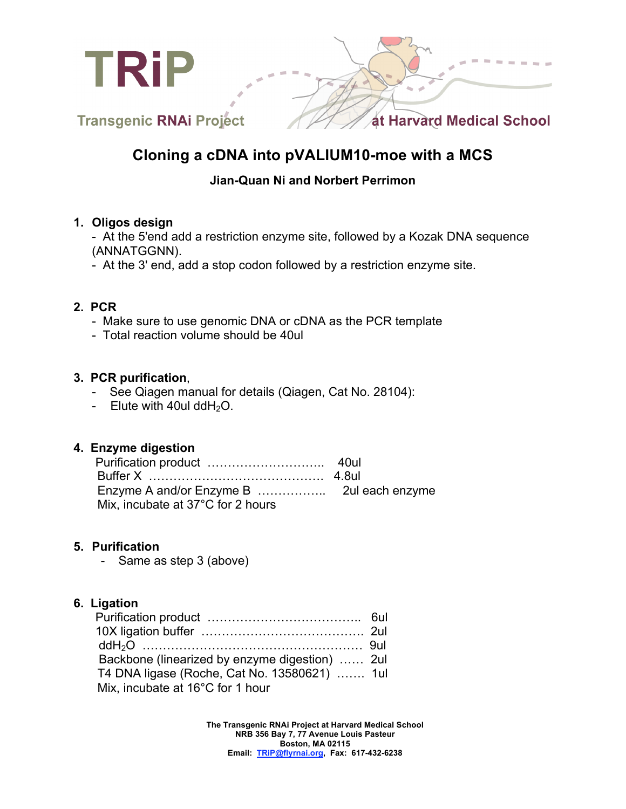

# **Cloning a cDNA into pVALIUM10-moe with a MCS**

## **Jian-Quan Ni and Norbert Perrimon**

### **1. Oligos design**

- At the 5'end add a restriction enzyme site, followed by a Kozak DNA sequence (ANNATGGNN).

- At the 3' end, add a stop codon followed by a restriction enzyme site.

## **2. PCR**

- Make sure to use genomic DNA or cDNA as the PCR template
- Total reaction volume should be 40ul

## **3. PCR purification**,

- See Qiagen manual for details (Qiagen, Cat No. 28104):
- Elute with 40ul dd $H_2O$ .

### **4. Enzyme digestion**

| Mix, incubate at 37°C for 2 hours |  |
|-----------------------------------|--|

## **5. Purification**

- Same as step 3 (above)

## **6. Ligation**

| Backbone (linearized by enzyme digestion)  2ul |  |
|------------------------------------------------|--|
| T4 DNA ligase (Roche, Cat No. 13580621)  1ul   |  |
| Mix, incubate at 16°C for 1 hour               |  |

**The Transgenic RNAi Project at Harvard Medical School NRB 356 Bay 7, 77 Avenue Louis Pasteur Boston, MA 02115 Email: TRiP@flyrnai.org, Fax: 617-432-6238**